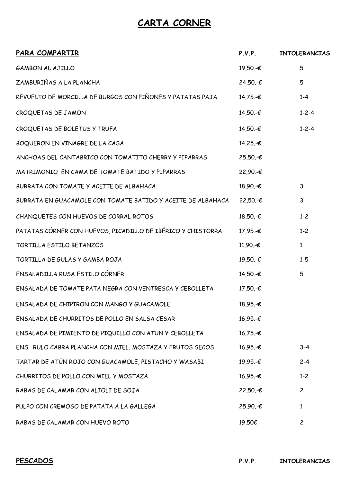## **CARTA CORNER**

| PARA COMPARTIR                                              | P.V.P.      | <b>INTOLERANCIAS</b> |
|-------------------------------------------------------------|-------------|----------------------|
| <b>GAMBON AL AJILLO</b>                                     | 19,50.-€    | 5                    |
| ZAMBURIÑAS A LA PLANCHA                                     | $24,50,-€$  | 5                    |
| REVUELTO DE MORCILLA DE BURGOS CON PIÑONES Y PATATAS PAJA   | 14,75.-€    | $1 - 4$              |
| CROQUETAS DE JAMON                                          | 14,50.-€    | $1 - 2 - 4$          |
| CROQUETAS DE BOLETUS Y TRUFA                                | 14,50.-€    | $1 - 2 - 4$          |
| BOQUERON EN VINAGRE DE LA CASA                              | 14,25.-€    |                      |
| ANCHOAS DEL CANTABRICO CON TOMATITO CHERRY Y PIPARRAS       | $25,50,-€$  |                      |
| MATRIMONIO EN CAMA DE TOMATE BATIDO Y PIPARRAS              | $22,90,-€$  |                      |
| BURRATA CON TOMATE Y ACEITE DE ALBAHACA                     | 18,90.-€    | 3                    |
| BURRATA EN GUACAMOLE CON TOMATE BATIDO Y ACEITE DE ALBAHACA | $22,50,-€$  | 3                    |
| CHANQUETES CON HUEVOS DE CORRAL ROTOS                       | $18,50,-€$  | $1 - 2$              |
| PATATAS CÓRNER CON HUEVOS, PICADILLO DE IBÉRICO Y CHISTORRA | 17,95.-€    | $1 - 2$              |
| TORTILLA ESTILO BETANZOS                                    | 11,90.-€    | $\mathbf{1}$         |
| TORTILLA DE GULAS Y GAMBA ROJA                              | 19,50.-€    | $1 - 5$              |
| ENSALADILLA RUSA ESTILO CÓRNER                              | 14,50.-€    | 5                    |
| ENSALADA DE TOMATE PATA NEGRA CON VENTRESCA Y CEBOLLETA     | $17,50.$ -€ |                      |
| ENSALADA DE CHIPIRON CON MANGO Y GUACAMOLE                  | $18,95.-€$  |                      |
| ENSALADA DE CHURRITOS DE POLLO EN SALSA CESAR               | $16,95.-€$  |                      |
| ENSALADA DE PIMIENTO DE PIQUILLO CON ATUN Y CEBOLLETA       | $16,75.-€$  |                      |
| ENS. RULO CABRA PLANCHA CON MIEL, MOSTAZA Y FRUTOS SECOS    | $16,95.-€$  | $3 - 4$              |
| TARTAR DE ATÚN ROJO CON GUACAMOLE, PISTACHO Y WASABI        | 19,95.-€    | $2 - 4$              |
| CHURRITOS DE POLLO CON MIEL Y MOSTAZA                       | $16,95.-€$  | $1 - 2$              |
| RABAS DE CALAMAR CON ALIOLI DE SOJA                         | $22,50,-€$  | $\overline{c}$       |
| PULPO CON CREMOSO DE PATATA A LA GALLEGA                    | $25,90,-€$  | 1                    |
| RABAS DE CALAMAR CON HUEVO ROTO                             | 19,50€      | $\overline{c}$       |